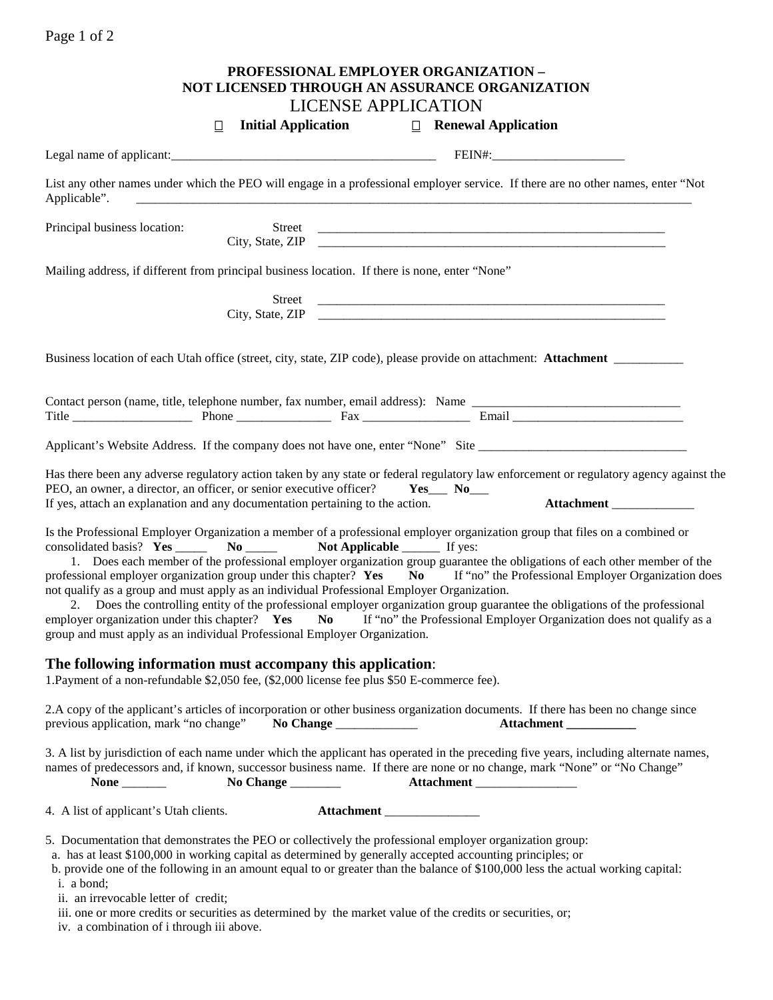|                                                                                                                                                                                                                                                                                                                                                                                                                                                                                                                               |        |                                                          | PROFESSIONAL EMPLOYER ORGANIZATION -<br>NOT LICENSED THROUGH AN ASSURANCE ORGANIZATION |                                                                                                                                                                                                                                                                                                                                                                                                                                                                                                               |
|-------------------------------------------------------------------------------------------------------------------------------------------------------------------------------------------------------------------------------------------------------------------------------------------------------------------------------------------------------------------------------------------------------------------------------------------------------------------------------------------------------------------------------|--------|----------------------------------------------------------|----------------------------------------------------------------------------------------|---------------------------------------------------------------------------------------------------------------------------------------------------------------------------------------------------------------------------------------------------------------------------------------------------------------------------------------------------------------------------------------------------------------------------------------------------------------------------------------------------------------|
|                                                                                                                                                                                                                                                                                                                                                                                                                                                                                                                               | $\Box$ | <b>LICENSE APPLICATION</b><br><b>Initial Application</b> | $\Box$ Renewal Application                                                             |                                                                                                                                                                                                                                                                                                                                                                                                                                                                                                               |
|                                                                                                                                                                                                                                                                                                                                                                                                                                                                                                                               |        |                                                          |                                                                                        |                                                                                                                                                                                                                                                                                                                                                                                                                                                                                                               |
| Applicable".                                                                                                                                                                                                                                                                                                                                                                                                                                                                                                                  |        |                                                          |                                                                                        | List any other names under which the PEO will engage in a professional employer service. If there are no other names, enter "Not                                                                                                                                                                                                                                                                                                                                                                              |
| Principal business location:                                                                                                                                                                                                                                                                                                                                                                                                                                                                                                  |        |                                                          |                                                                                        | City, State, ZIP                                                                                                                                                                                                                                                                                                                                                                                                                                                                                              |
| Mailing address, if different from principal business location. If there is none, enter "None"                                                                                                                                                                                                                                                                                                                                                                                                                                |        |                                                          |                                                                                        |                                                                                                                                                                                                                                                                                                                                                                                                                                                                                                               |
|                                                                                                                                                                                                                                                                                                                                                                                                                                                                                                                               | Street |                                                          |                                                                                        |                                                                                                                                                                                                                                                                                                                                                                                                                                                                                                               |
| Business location of each Utah office (street, city, state, ZIP code), please provide on attachment: Attachment ________                                                                                                                                                                                                                                                                                                                                                                                                      |        |                                                          |                                                                                        |                                                                                                                                                                                                                                                                                                                                                                                                                                                                                                               |
| Contact person (name, title, telephone number, fax number, email address): Name                                                                                                                                                                                                                                                                                                                                                                                                                                               |        |                                                          |                                                                                        |                                                                                                                                                                                                                                                                                                                                                                                                                                                                                                               |
| Applicant's Website Address. If the company does not have one, enter "None" Site                                                                                                                                                                                                                                                                                                                                                                                                                                              |        |                                                          |                                                                                        |                                                                                                                                                                                                                                                                                                                                                                                                                                                                                                               |
| PEO, an owner, a director, an officer, or senior executive officer? Ves___ No___<br>If yes, attach an explanation and any documentation pertaining to the action.                                                                                                                                                                                                                                                                                                                                                             |        |                                                          |                                                                                        | Has there been any adverse regulatory action taken by any state or federal regulatory law enforcement or regulatory agency against the<br>Attachment                                                                                                                                                                                                                                                                                                                                                          |
| Is the Professional Employer Organization a member of a professional employer organization group that files on a combined or<br>consolidated basis? Yes ________ No __________ Not Applicable ________ If yes:<br>not qualify as a group and must apply as an individual Professional Employer Organization.<br>group and must apply as an individual Professional Employer Organization.                                                                                                                                     |        |                                                          |                                                                                        | 1. Does each member of the professional employer organization group guarantee the obligations of each other member of the<br>professional employer organization group under this chapter? Yes No If "no" the Professional Employer Organization does<br>2. Does the controlling entity of the professional employer organization group guarantee the obligations of the professional<br>employer organization under this chapter? Yes No If "no" the Professional Employer Organization does not qualify as a |
| The following information must accompany this application:<br>1. Payment of a non-refundable \$2,050 fee, (\$2,000 license fee plus \$50 E-commerce fee).                                                                                                                                                                                                                                                                                                                                                                     |        |                                                          |                                                                                        |                                                                                                                                                                                                                                                                                                                                                                                                                                                                                                               |
| previous application, mark "no change" No Change ______________                                                                                                                                                                                                                                                                                                                                                                                                                                                               |        |                                                          |                                                                                        | 2.A copy of the applicant's articles of incorporation or other business organization documents. If there has been no change since<br><b>Attachment</b>                                                                                                                                                                                                                                                                                                                                                        |
| names of predecessors and, if known, successor business name. If there are none or no change, mark "None" or "No Change"                                                                                                                                                                                                                                                                                                                                                                                                      |        |                                                          | Attachment __________________                                                          | 3. A list by jurisdiction of each name under which the applicant has operated in the preceding five years, including alternate names,                                                                                                                                                                                                                                                                                                                                                                         |
| 4. A list of applicant's Utah clients.                                                                                                                                                                                                                                                                                                                                                                                                                                                                                        |        | Attachment                                               |                                                                                        |                                                                                                                                                                                                                                                                                                                                                                                                                                                                                                               |
| 5. Documentation that demonstrates the PEO or collectively the professional employer organization group:<br>a. has at least \$100,000 in working capital as determined by generally accepted accounting principles; or<br>b. provide one of the following in an amount equal to or greater than the balance of \$100,000 less the actual working capital:<br>i. a bond;<br>ii. an irrevocable letter of credit;<br>iii. one or more credits or securities as determined by the market value of the credits or securities, or; |        |                                                          |                                                                                        |                                                                                                                                                                                                                                                                                                                                                                                                                                                                                                               |

iv. a combination of i through iii above.